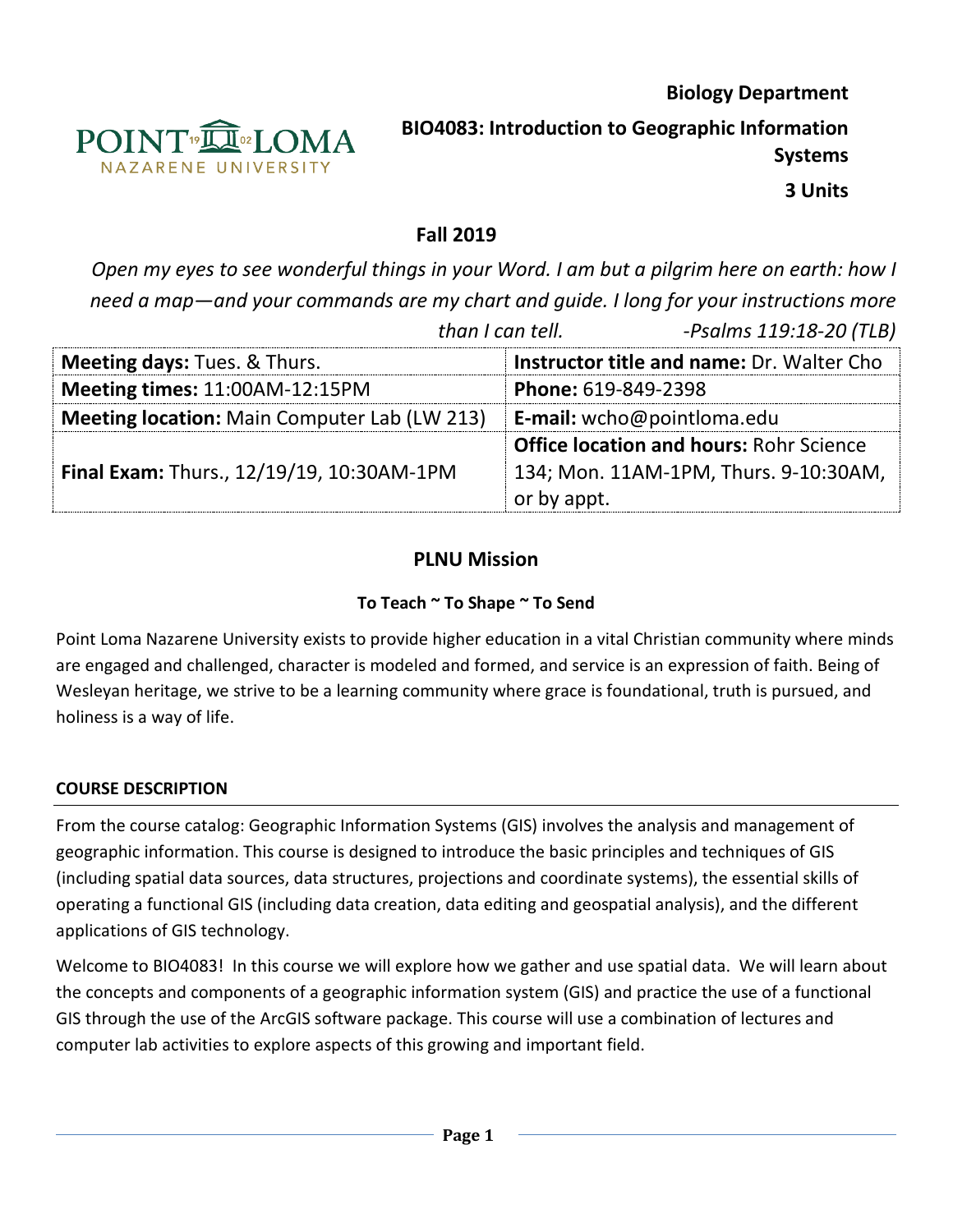

**Biology Department BIO4083: Introduction to Geographic Information Systems**

**3 Units**

## **Fall 2019**

*Open my eyes to see wonderful things in your Word. I am but a pilgrim here on earth: how I need a map—and your commands are my chart and guide. I long for your instructions more* 

|                                                     | -Psalms 119:18-20 (TLB)<br>than I can tell.                                                            |  |  |
|-----------------------------------------------------|--------------------------------------------------------------------------------------------------------|--|--|
| <b>Meeting days: Tues. &amp; Thurs.</b>             | <b>Instructor title and name: Dr. Walter Cho</b>                                                       |  |  |
| Meeting times: 11:00AM-12:15PM                      | Phone: 619-849-2398                                                                                    |  |  |
| <b>Meeting location:</b> Main Computer Lab (LW 213) | <b>E-mail:</b> wcho@pointloma.edu                                                                      |  |  |
| Final Exam: Thurs., 12/19/19, 10:30AM-1PM           | <b>Office location and hours: Rohr Science</b><br>134; Mon. 11AM-1PM, Thurs. 9-10:30AM,<br>or by appt. |  |  |

### **PLNU Mission**

### **To Teach ~ To Shape ~ To Send**

Point Loma Nazarene University exists to provide higher education in a vital Christian community where minds are engaged and challenged, character is modeled and formed, and service is an expression of faith. Being of Wesleyan heritage, we strive to be a learning community where grace is foundational, truth is pursued, and holiness is a way of life.

### **COURSE DESCRIPTION**

From the course catalog: Geographic Information Systems (GIS) involves the analysis and management of geographic information. This course is designed to introduce the basic principles and techniques of GIS (including spatial data sources, data structures, projections and coordinate systems), the essential skills of operating a functional GIS (including data creation, data editing and geospatial analysis), and the different applications of GIS technology.

Welcome to BIO4083! In this course we will explore how we gather and use spatial data. We will learn about the concepts and components of a geographic information system (GIS) and practice the use of a functional GIS through the use of the ArcGIS software package. This course will use a combination of lectures and computer lab activities to explore aspects of this growing and important field.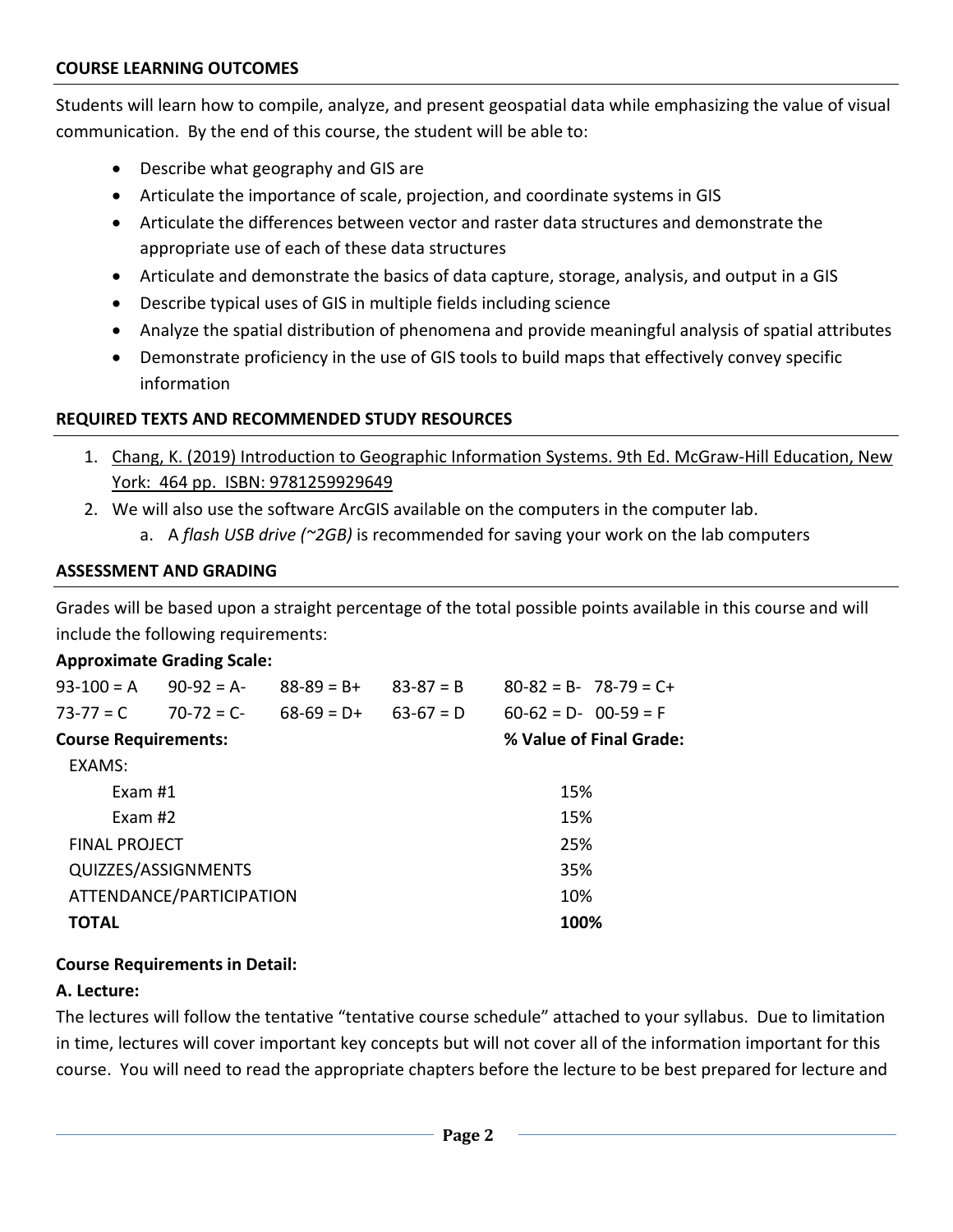Students will learn how to compile, analyze, and present geospatial data while emphasizing the value of visual communication. By the end of this course, the student will be able to:

- Describe what geography and GIS are
- Articulate the importance of scale, projection, and coordinate systems in GIS
- Articulate the differences between vector and raster data structures and demonstrate the appropriate use of each of these data structures
- Articulate and demonstrate the basics of data capture, storage, analysis, and output in a GIS
- Describe typical uses of GIS in multiple fields including science
- Analyze the spatial distribution of phenomena and provide meaningful analysis of spatial attributes
- Demonstrate proficiency in the use of GIS tools to build maps that effectively convey specific information

### **REQUIRED TEXTS AND RECOMMENDED STUDY RESOURCES**

- 1. Chang, K. (2019) Introduction to Geographic Information Systems. 9th Ed. McGraw-Hill Education, New York: 464 pp. ISBN: 9781259929649
- 2. We will also use the software ArcGIS available on the computers in the computer lab.
	- a. A *flash USB drive (~2GB)* is recommended for saving your work on the lab computers

### **ASSESSMENT AND GRADING**

Grades will be based upon a straight percentage of the total possible points available in this course and will include the following requirements:

### **Approximate Grading Scale:**

| $93-100 = A$ $90-92 = A$    |                          | $88 - 89 = B +$ | $83-87 = B$ | $80-82 = B - 78-79 = C +$ |
|-----------------------------|--------------------------|-----------------|-------------|---------------------------|
| $73-77 = C$                 | $70-72 = C$              | $68-69 = D+$    | $63-67 = D$ | $60-62 = D - 00-59 = F$   |
| <b>Course Requirements:</b> |                          |                 |             | % Value of Final Grade:   |
| EXAMS:                      |                          |                 |             |                           |
| Exam #1                     |                          | 15%             |             |                           |
| Exam $#2$                   |                          |                 |             | 15%                       |
| <b>FINAL PROJECT</b>        |                          |                 |             | 25%                       |
|                             | QUIZZES/ASSIGNMENTS      |                 |             | 35%                       |
|                             | ATTENDANCE/PARTICIPATION |                 |             | 10%                       |
| <b>TOTAL</b>                |                          |                 |             | 100%                      |
|                             |                          |                 |             |                           |

### **Course Requirements in Detail:**

### **A. Lecture:**

The lectures will follow the tentative "tentative course schedule" attached to your syllabus. Due to limitation in time, lectures will cover important key concepts but will not cover all of the information important for this course. You will need to read the appropriate chapters before the lecture to be best prepared for lecture and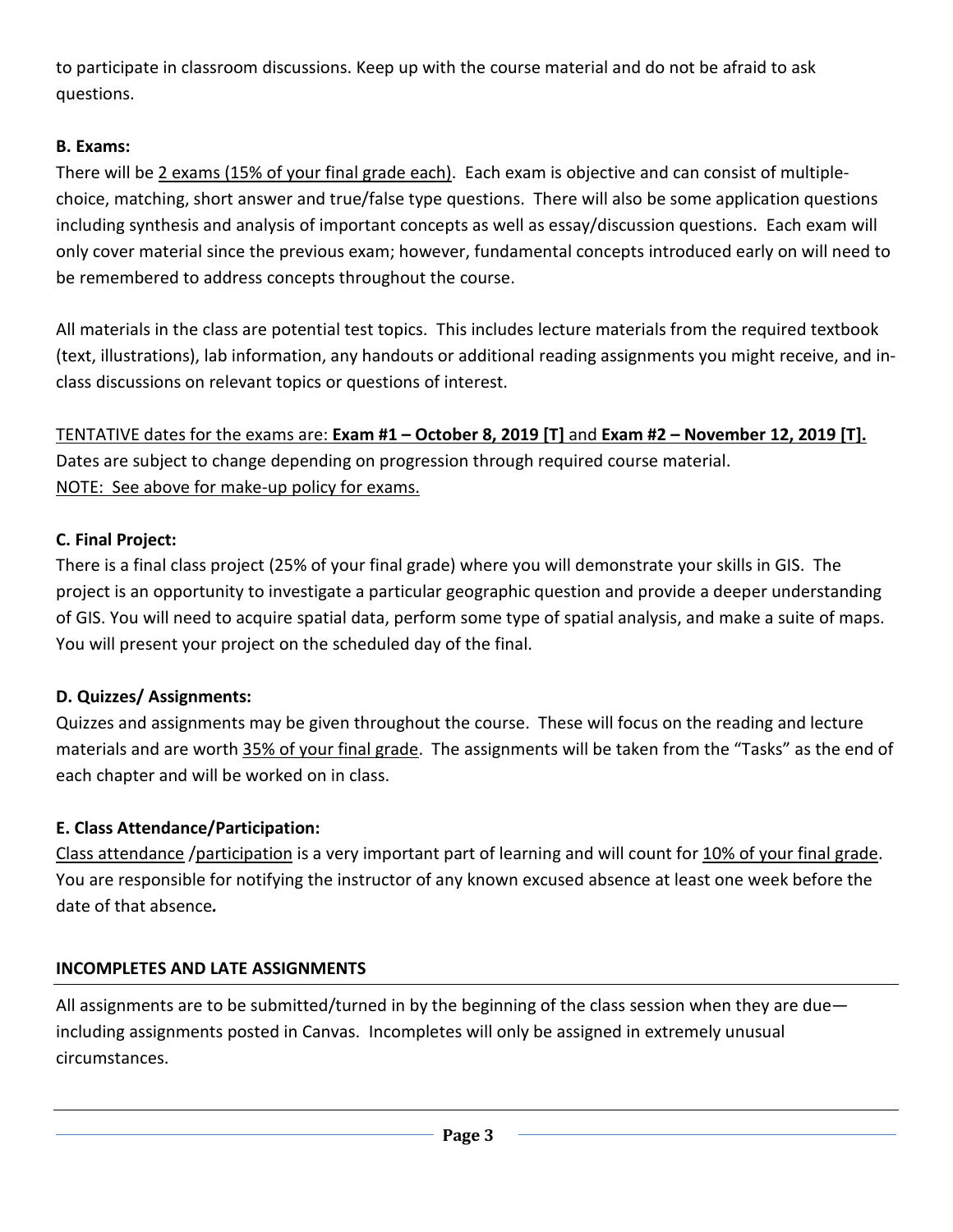to participate in classroom discussions. Keep up with the course material and do not be afraid to ask questions.

### **B. Exams:**

There will be 2 exams (15% of your final grade each). Each exam is objective and can consist of multiplechoice, matching, short answer and true/false type questions. There will also be some application questions including synthesis and analysis of important concepts as well as essay/discussion questions. Each exam will only cover material since the previous exam; however, fundamental concepts introduced early on will need to be remembered to address concepts throughout the course.

All materials in the class are potential test topics. This includes lecture materials from the required textbook (text, illustrations), lab information, any handouts or additional reading assignments you might receive, and inclass discussions on relevant topics or questions of interest.

TENTATIVE dates for the exams are: **Exam #1 – October 8, 2019 [T]** and **Exam #2 – November 12, 2019 [T].**  Dates are subject to change depending on progression through required course material. NOTE: See above for make-up policy for exams.

# **C. Final Project:**

There is a final class project (25% of your final grade) where you will demonstrate your skills in GIS. The project is an opportunity to investigate a particular geographic question and provide a deeper understanding of GIS. You will need to acquire spatial data, perform some type of spatial analysis, and make a suite of maps. You will present your project on the scheduled day of the final.

# **D. Quizzes/ Assignments:**

Quizzes and assignments may be given throughout the course. These will focus on the reading and lecture materials and are worth 35% of your final grade. The assignments will be taken from the "Tasks" as the end of each chapter and will be worked on in class.

# **E. Class Attendance/Participation:**

Class attendance /participation is a very important part of learning and will count for 10% of your final grade. You are responsible for notifying the instructor of any known excused absence at least one week before the date of that absence*.*

# **INCOMPLETES AND LATE ASSIGNMENTS**

All assignments are to be submitted/turned in by the beginning of the class session when they are due including assignments posted in Canvas. Incompletes will only be assigned in extremely unusual circumstances.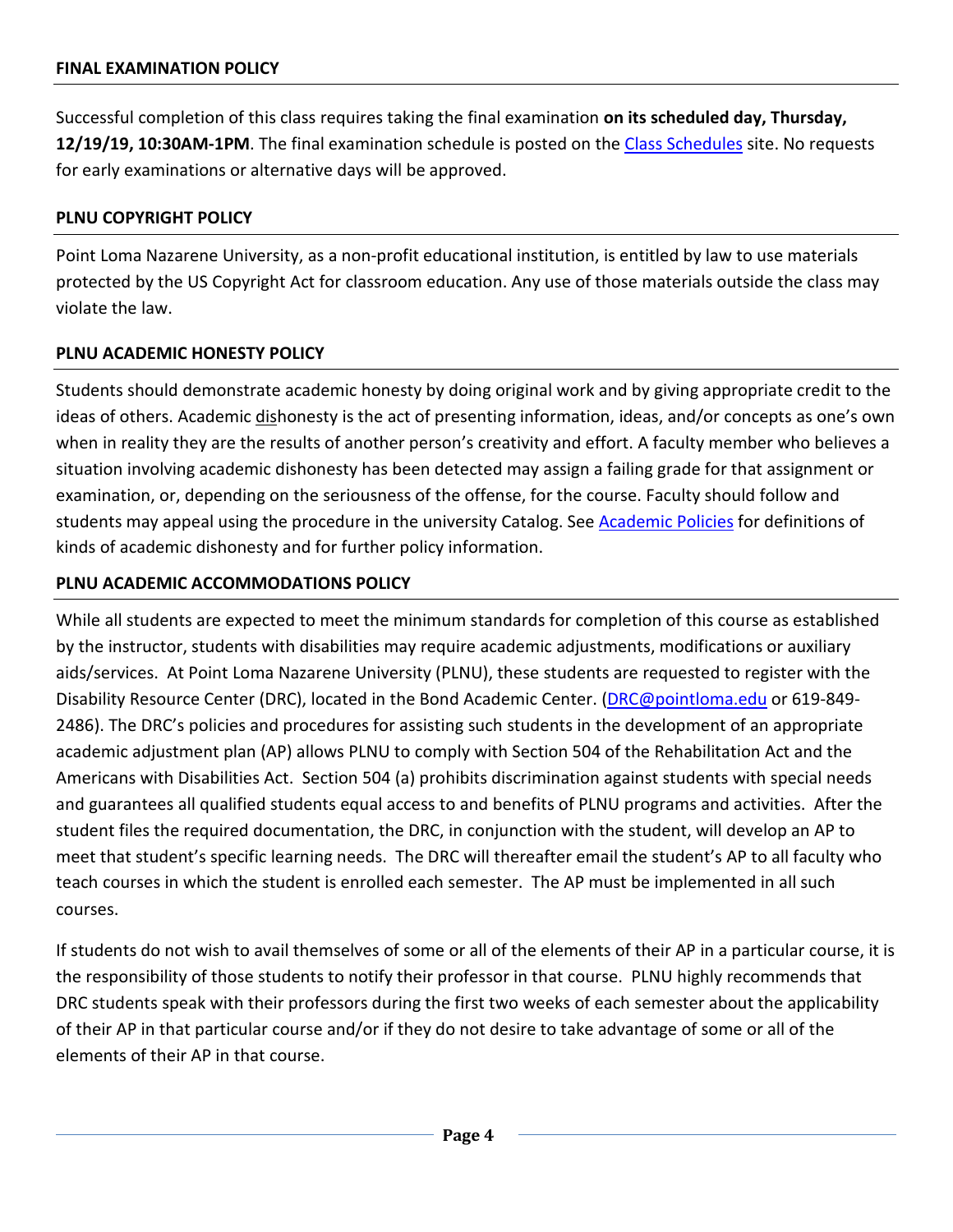Successful completion of this class requires taking the final examination **on its scheduled day, Thursday, 12/19/19, 10:30AM-1PM**. The final examination schedule is posted on the [Class Schedules](http://www.pointloma.edu/experience/academics/class-schedules) site. No requests for early examinations or alternative days will be approved.

### **PLNU COPYRIGHT POLICY**

Point Loma Nazarene University, as a non-profit educational institution, is entitled by law to use materials protected by the US Copyright Act for classroom education. Any use of those materials outside the class may violate the law.

### **PLNU ACADEMIC HONESTY POLICY**

Students should demonstrate academic honesty by doing original work and by giving appropriate credit to the ideas of others. Academic dishonesty is the act of presenting information, ideas, and/or concepts as one's own when in reality they are the results of another person's creativity and effort. A faculty member who believes a situation involving academic dishonesty has been detected may assign a failing grade for that assignment or examination, or, depending on the seriousness of the offense, for the course. Faculty should follow and students may appeal using the procedure in the university Catalog. See **Academic Policies** for definitions of kinds of academic dishonesty and for further policy information.

### **PLNU ACADEMIC ACCOMMODATIONS POLICY**

While all students are expected to meet the minimum standards for completion of this course as established by the instructor, students with disabilities may require academic adjustments, modifications or auxiliary aids/services. At Point Loma Nazarene University (PLNU), these students are requested to register with the Disability Resource Center (DRC), located in the Bond Academic Center. [\(DRC@pointloma.edu](mailto:DRC@pointloma.edu) or 619-849- 2486). The DRC's policies and procedures for assisting such students in the development of an appropriate academic adjustment plan (AP) allows PLNU to comply with Section 504 of the Rehabilitation Act and the Americans with Disabilities Act. Section 504 (a) prohibits discrimination against students with special needs and guarantees all qualified students equal access to and benefits of PLNU programs and activities. After the student files the required documentation, the DRC, in conjunction with the student, will develop an AP to meet that student's specific learning needs. The DRC will thereafter email the student's AP to all faculty who teach courses in which the student is enrolled each semester. The AP must be implemented in all such courses.

If students do not wish to avail themselves of some or all of the elements of their AP in a particular course, it is the responsibility of those students to notify their professor in that course. PLNU highly recommends that DRC students speak with their professors during the first two weeks of each semester about the applicability of their AP in that particular course and/or if they do not desire to take advantage of some or all of the elements of their AP in that course.